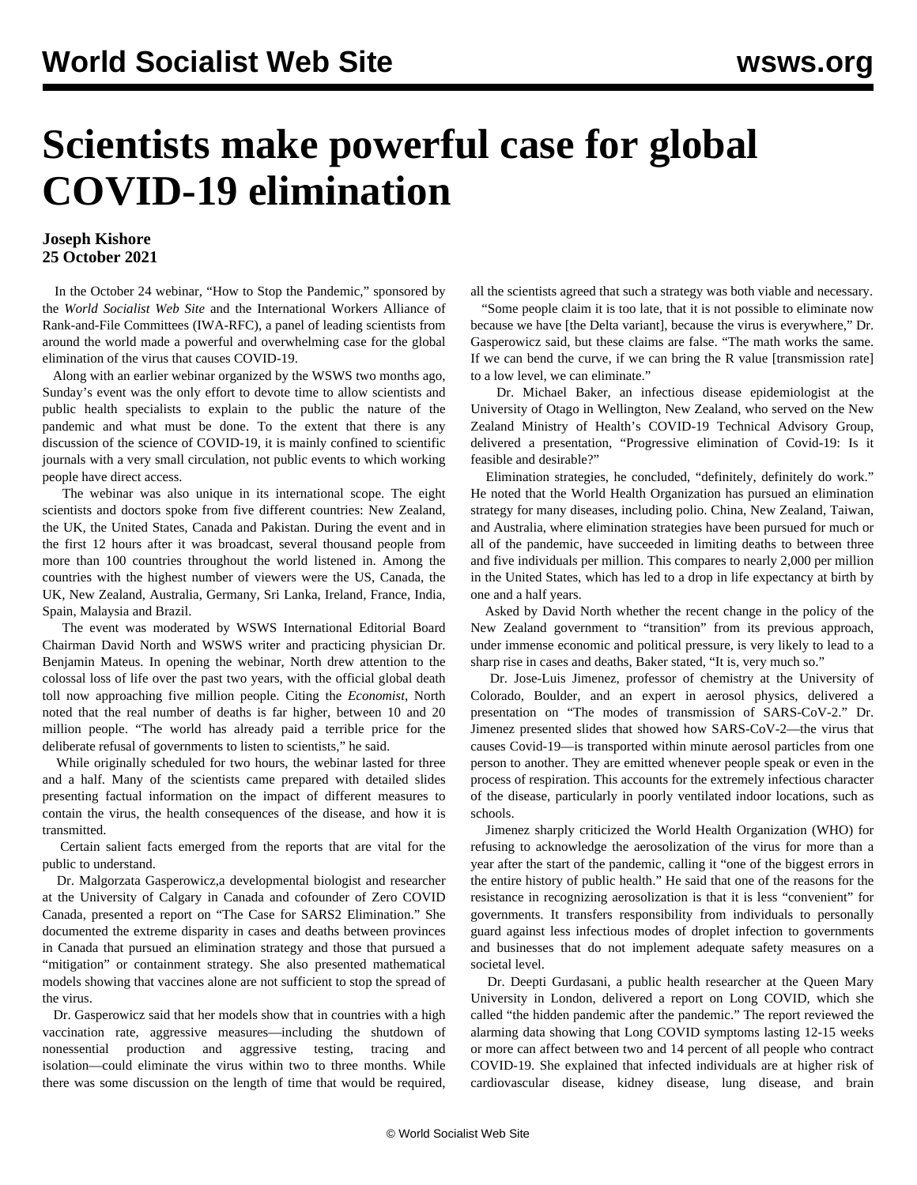## **Scientists make powerful case for global COVID-19 elimination**

## **Joseph Kishore 25 October 2021**

 In the October 24 webinar, "How to Stop the Pandemic," sponsored by the *World Socialist Web Site* and the International Workers Alliance of Rank-and-File Committees (IWA-RFC), a panel of leading scientists from around the world made a powerful and overwhelming case for the global elimination of the virus that causes COVID-19.

 Along with an earlier [webinar](/en/special/pages/global-strategy-stop-pandemic-save-lives.html) organized by the WSWS two months ago, Sunday's event was the only effort to devote time to allow scientists and public health specialists to explain to the public the nature of the pandemic and what must be done. To the extent that there is any discussion of the science of COVID-19, it is mainly confined to scientific journals with a very small circulation, not public events to which working people have direct access.

 The webinar was also unique in its international scope. The eight scientists and doctors spoke from five different countries: New Zealand, the UK, the United States, Canada and Pakistan. During the event and in the first 12 hours after it was broadcast, several thousand people from more than 100 countries throughout the world listened in. Among the countries with the highest number of viewers were the US, Canada, the UK, New Zealand, Australia, Germany, Sri Lanka, Ireland, France, India, Spain, Malaysia and Brazil.

 The event was moderated by WSWS International Editorial Board Chairman David North and WSWS writer and practicing physician Dr. Benjamin Mateus. In [opening the webinar,](/en/articles/2021/10/25/pers-o25.html) North drew attention to the colossal loss of life over the past two years, with the official global death toll now approaching five million people. Citing the *Economist*, North noted that the real number of deaths is far higher, between 10 and 20 million people. "The world has already paid a terrible price for the deliberate refusal of governments to listen to scientists," he said.

 While originally scheduled for two hours, the webinar lasted for three and a half. Many of the scientists came prepared with detailed slides presenting factual information on the impact of different measures to contain the virus, the health consequences of the disease, and how it is transmitted.

 Certain salient facts emerged from the reports that are vital for the public to understand.

 Dr. Malgorzata Gasperowicz,a developmental biologist and researcher at the University of Calgary in Canada and cofounder of Zero COVID Canada, presented a report on "The Case for SARS2 Elimination." She documented the extreme disparity in cases and deaths between provinces in Canada that pursued an elimination strategy and those that pursued a "mitigation" or containment strategy. She also presented mathematical models showing that vaccines alone are not sufficient to stop the spread of the virus.

 Dr. Gasperowicz said that her models show that in countries with a high vaccination rate, aggressive measures—including the shutdown of nonessential production and aggressive testing, tracing and isolation—could eliminate the virus within two to three months. While there was some discussion on the length of time that would be required,

all the scientists agreed that such a strategy was both viable and necessary.

 "Some people claim it is too late, that it is not possible to eliminate now because we have [the Delta variant], because the virus is everywhere," Dr. Gasperowicz said, but these claims are false. "The math works the same. If we can bend the curve, if we can bring the R value [transmission rate] to a low level, we can eliminate."

 Dr. Michael Baker, an infectious disease epidemiologist at the University of Otago in Wellington, New Zealand, who served on the New Zealand Ministry of Health's COVID-19 Technical Advisory Group, delivered a presentation, "Progressive elimination of Covid-19: Is it feasible and desirable?"

 Elimination strategies, he concluded, "definitely, definitely do work." He noted that the World Health Organization has pursued an elimination strategy for many diseases, including polio. China, New Zealand, Taiwan, and Australia, where elimination strategies have been pursued for much or all of the pandemic, have succeeded in limiting deaths to between three and five individuals per million. This compares to nearly 2,000 per million in the United States, which has led to a drop in life expectancy at birth by one and a half years.

 Asked by David North whether the recent change in the policy of the New Zealand government to "transition" from its previous approach, under immense economic and political pressure, is very likely to lead to a sharp rise in cases and deaths, Baker stated, "It is, very much so."

 Dr. Jose-Luis Jimenez, professor of chemistry at the University of Colorado, Boulder, and an expert in aerosol physics, delivered a presentation on "The modes of transmission of SARS-CoV-2." Dr. Jimenez presented slides that showed how SARS-CoV-2—the virus that causes Covid-19—is transported within minute aerosol particles from one person to another. They are emitted whenever people speak or even in the process of respiration. This accounts for the extremely infectious character of the disease, particularly in poorly ventilated indoor locations, such as schools.

 Jimenez sharply criticized the World Health Organization (WHO) for refusing to acknowledge the aerosolization of the virus for more than a year after the start of the pandemic, calling it "one of the biggest errors in the entire history of public health." He said that one of the reasons for the resistance in recognizing aerosolization is that it is less "convenient" for governments. It transfers responsibility from individuals to personally guard against less infectious modes of droplet infection to governments and businesses that do not implement adequate safety measures on a societal level.

 Dr. Deepti Gurdasani, a public health researcher at the Queen Mary University in London, delivered a report on Long COVID, which she called "the hidden pandemic after the pandemic." The report reviewed the alarming data showing that Long COVID symptoms lasting 12-15 weeks or more can affect between two and 14 percent of all people who contract COVID-19. She explained that infected individuals are at higher risk of cardiovascular disease, kidney disease, lung disease, and brain